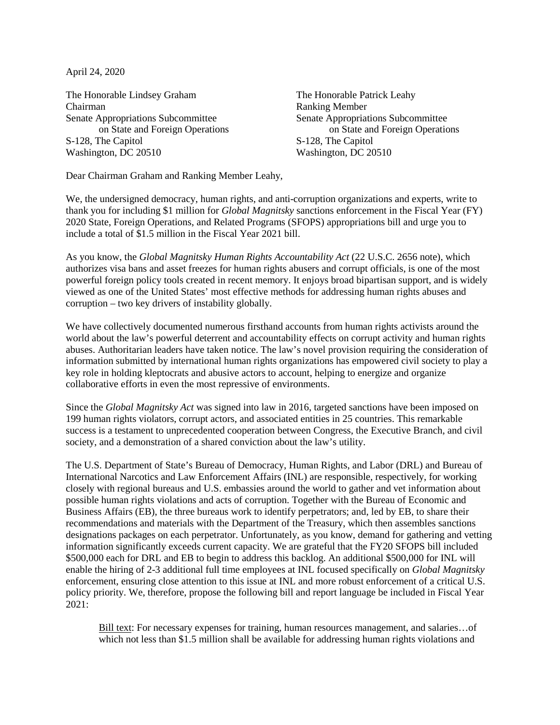April 24, 2020

The Honorable Lindsey Graham The Honorable Patrick Leahy Chairman Ranking Member Senate Appropriations Subcommittee Senate Appropriations Subcommittee S-128, The Capitol Washington, DC 20510 Washington, DC 20510

on State and Foreign Operations on State and Foreign Operations<br>
S-128, The Capitol<br>
S-128, The Capitol

Dear Chairman Graham and Ranking Member Leahy,

We, the undersigned democracy, human rights, and anti-corruption organizations and experts, write to thank you for including \$1 million for *Global Magnitsky* sanctions enforcement in the Fiscal Year (FY) 2020 State, Foreign Operations, and Related Programs (SFOPS) appropriations bill and urge you to include a total of \$1.5 million in the Fiscal Year 2021 bill.

As you know, the *Global Magnitsky Human Rights Accountability Act* (22 U.S.C. 2656 note), which authorizes visa bans and asset freezes for human rights abusers and corrupt officials, is one of the most powerful foreign policy tools created in recent memory. It enjoys broad bipartisan support, and is widely viewed as one of the United States' most effective methods for addressing human rights abuses and corruption – two key drivers of instability globally.

We have collectively documented numerous firsthand accounts from human rights activists around the world about the law's powerful deterrent and accountability effects on corrupt activity and human rights abuses. Authoritarian leaders have taken notice. The law's novel provision requiring the consideration of information submitted by international human rights organizations has empowered civil society to play a key role in holding kleptocrats and abusive actors to account, helping to energize and organize collaborative efforts in even the most repressive of environments.

Since the *Global Magnitsky Act* was signed into law in 2016, targeted sanctions have been imposed on 199 human rights violators, corrupt actors, and associated entities in 25 countries. This remarkable success is a testament to unprecedented cooperation between Congress, the Executive Branch, and civil society, and a demonstration of a shared conviction about the law's utility.

The U.S. Department of State's Bureau of Democracy, Human Rights, and Labor (DRL) and Bureau of International Narcotics and Law Enforcement Affairs (INL) are responsible, respectively, for working closely with regional bureaus and U.S. embassies around the world to gather and vet information about possible human rights violations and acts of corruption. Together with the Bureau of Economic and Business Affairs (EB), the three bureaus work to identify perpetrators; and, led by EB, to share their recommendations and materials with the Department of the Treasury, which then assembles sanctions designations packages on each perpetrator. Unfortunately, as you know, demand for gathering and vetting information significantly exceeds current capacity. We are grateful that the FY20 SFOPS bill included \$500,000 each for DRL and EB to begin to address this backlog. An additional \$500,000 for INL will enable the hiring of 2-3 additional full time employees at INL focused specifically on *Global Magnitsky* enforcement, ensuring close attention to this issue at INL and more robust enforcement of a critical U.S. policy priority. We, therefore, propose the following bill and report language be included in Fiscal Year 2021:

Bill text: For necessary expenses for training, human resources management, and salaries…of which not less than \$1.5 million shall be available for addressing human rights violations and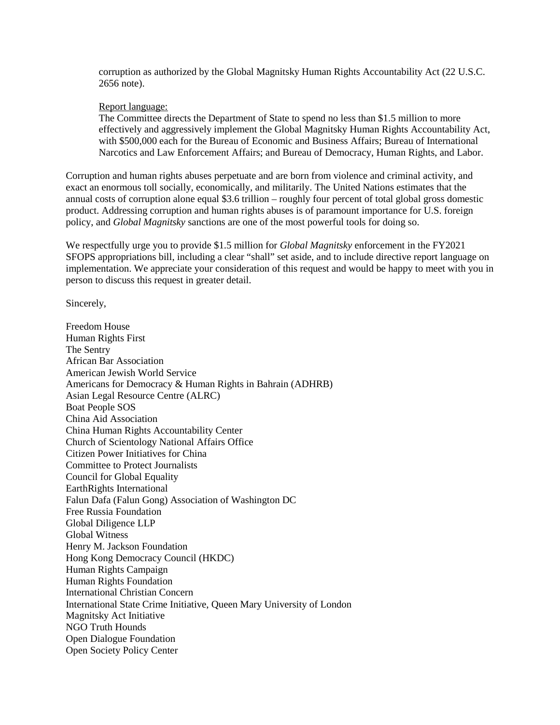corruption as authorized by the Global Magnitsky Human Rights Accountability Act (22 U.S.C. 2656 note).

## Report language:

The Committee directs the Department of State to spend no less than \$1.5 million to more effectively and aggressively implement the Global Magnitsky Human Rights Accountability Act, with \$500,000 each for the Bureau of Economic and Business Affairs; Bureau of International Narcotics and Law Enforcement Affairs; and Bureau of Democracy, Human Rights, and Labor.

Corruption and human rights abuses perpetuate and are born from violence and criminal activity, and exact an enormous toll socially, economically, and militarily. The United Nations estimates that the annual costs of corruption alone equal \$3.6 trillion – roughly four percent of total global gross domestic product. Addressing corruption and human rights abuses is of paramount importance for U.S. foreign policy, and *Global Magnitsky* sanctions are one of the most powerful tools for doing so.

We respectfully urge you to provide \$1.5 million for *Global Magnitsky* enforcement in the FY2021 SFOPS appropriations bill, including a clear "shall" set aside, and to include directive report language on implementation. We appreciate your consideration of this request and would be happy to meet with you in person to discuss this request in greater detail.

Sincerely,

Freedom House Human Rights First The Sentry African Bar Association American Jewish World Service Americans for Democracy & Human Rights in Bahrain (ADHRB) Asian Legal Resource Centre (ALRC) Boat People SOS China Aid Association China Human Rights Accountability Center Church of Scientology National Affairs Office Citizen Power Initiatives for China Committee to Protect Journalists Council for Global Equality EarthRights International Falun Dafa (Falun Gong) Association of Washington DC Free Russia Foundation Global Diligence LLP Global Witness Henry M. Jackson Foundation Hong Kong Democracy Council (HKDC) Human Rights Campaign Human Rights Foundation International Christian Concern International State Crime Initiative, Queen Mary University of London Magnitsky Act Initiative NGO Truth Hounds Open Dialogue Foundation Open Society Policy Center